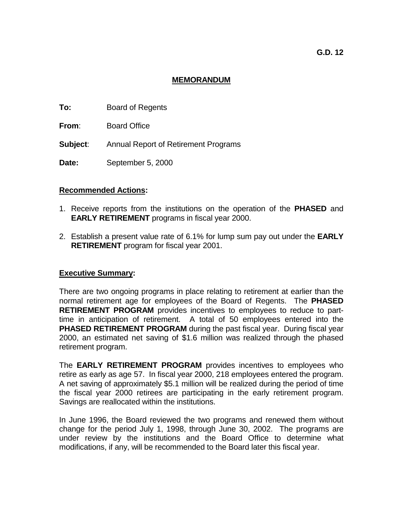# **MEMORANDUM**

- **To:** Board of Regents
- **From**: Board Office
- **Subject**: Annual Report of Retirement Programs
- **Date:** September 5, 2000

## **Recommended Actions:**

- 1. Receive reports from the institutions on the operation of the **PHASED** and **EARLY RETIREMENT** programs in fiscal year 2000.
- 2. Establish a present value rate of 6.1% for lump sum pay out under the **EARLY RETIREMENT** program for fiscal year 2001.

## **Executive Summary:**

There are two ongoing programs in place relating to retirement at earlier than the normal retirement age for employees of the Board of Regents. The **PHASED RETIREMENT PROGRAM** provides incentives to employees to reduce to parttime in anticipation of retirement. A total of 50 employees entered into the **PHASED RETIREMENT PROGRAM** during the past fiscal year. During fiscal year 2000, an estimated net saving of \$1.6 million was realized through the phased retirement program.

The **EARLY RETIREMENT PROGRAM** provides incentives to employees who retire as early as age 57. In fiscal year 2000, 218 employees entered the program. A net saving of approximately \$5.1 million will be realized during the period of time the fiscal year 2000 retirees are participating in the early retirement program. Savings are reallocated within the institutions.

In June 1996, the Board reviewed the two programs and renewed them without change for the period July 1, 1998, through June 30, 2002. The programs are under review by the institutions and the Board Office to determine what modifications, if any, will be recommended to the Board later this fiscal year.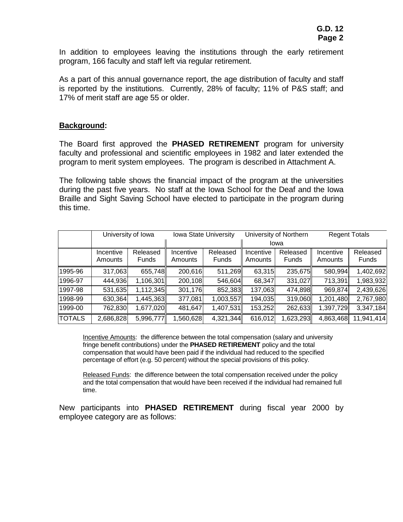In addition to employees leaving the institutions through the early retirement program, 166 faculty and staff left via regular retirement.

As a part of this annual governance report, the age distribution of faculty and staff is reported by the institutions. Currently, 28% of faculty; 11% of P&S staff; and 17% of merit staff are age 55 or older.

### **Background:**

The Board first approved the **PHASED RETIREMENT** program for university faculty and professional and scientific employees in 1982 and later extended the program to merit system employees. The program is described in Attachment A.

The following table shows the financial impact of the program at the universities during the past five years. No staff at the Iowa School for the Deaf and the Iowa Braille and Sight Saving School have elected to participate in the program during this time.

|               | University of Iowa |           | Iowa State University |              | University of Northern |              | <b>Regent Totals</b> |            |
|---------------|--------------------|-----------|-----------------------|--------------|------------------------|--------------|----------------------|------------|
|               |                    |           |                       |              | Iowa                   |              |                      |            |
|               | Incentive          | Released  | Incentive             | Released     | Incentive              | Released     | Incentive            | Released   |
|               | Amounts            | Funds     | Amounts               | <b>Funds</b> | Amounts                | <b>Funds</b> | Amounts              | Funds      |
| 1995-96       | 317,063            | 655,748   | 200,616               | 511,269      | 63,315                 | 235,675      | 580,994              | 1,402,692  |
| 1996-97       | 444,936            | 1,106,301 | 200,108               | 546,604      | 68,347                 | 331,027      | 713,391              | 1,983,932  |
| 1997-98       | 531,635            | 1,112,345 | 301,176               | 852,383      | 137,063                | 474,898      | 969,874              | 2,439,626  |
| 1998-99       | 630,364            | 1,445,363 | 377,081               | 1,003,557    | 194,035                | 319,060      | 1,201,480            | 2,767,980  |
| 1999-00       | 762,830            | 1,677,020 | 481,647               | 1,407,531    | 153,252                | 262,633      | 1,397,729            | 3,347,184  |
| <b>TOTALS</b> | 2,686,828          | 5,996,777 | 1,560,628             | 4,321,344    | 616,012                | 1,623,293    | 4,863,468            | 11,941,414 |

Incentive Amounts: the difference between the total compensation (salary and university fringe benefit contributions) under the **PHASED RETIREMENT** policy and the total compensation that would have been paid if the individual had reduced to the specified percentage of effort (e.g. 50 percent) without the special provisions of this policy.

Released Funds: the difference between the total compensation received under the policy and the total compensation that would have been received if the individual had remained full time.

New participants into **PHASED RETIREMENT** during fiscal year 2000 by employee category are as follows: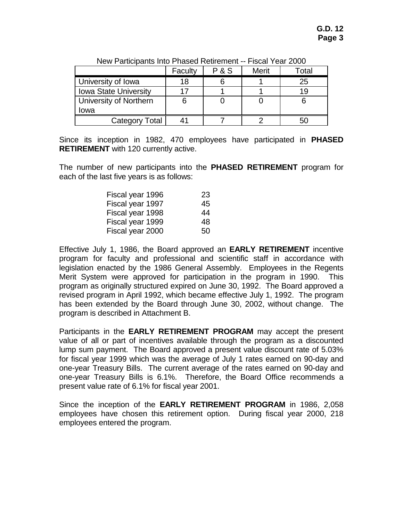| 11011 - 011101201110 11110 - 110000 11011101111 |         |       |              |       |  |
|-------------------------------------------------|---------|-------|--------------|-------|--|
|                                                 | Faculty | P & S | <b>Merit</b> | Гоtal |  |
| University of Iowa                              | 18      |       |              | 25    |  |
| <b>Iowa State University</b>                    |         |       |              | 19    |  |
| University of Northern                          |         |       |              |       |  |
| Iowa                                            |         |       |              |       |  |
| <b>Category Total</b>                           |         |       |              |       |  |

New Participants Into Phased Retirement -- Fiscal Year 2000

Since its inception in 1982, 470 employees have participated in **PHASED RETIREMENT** with 120 currently active.

The number of new participants into the **PHASED RETIREMENT** program for each of the last five years is as follows:

| Fiscal year 1996 | 23 |
|------------------|----|
| Fiscal year 1997 | 45 |
| Fiscal year 1998 | 44 |
| Fiscal year 1999 | 48 |
| Fiscal year 2000 | 50 |

Effective July 1, 1986, the Board approved an **EARLY RETIREMENT** incentive program for faculty and professional and scientific staff in accordance with legislation enacted by the 1986 General Assembly. Employees in the Regents Merit System were approved for participation in the program in 1990. This program as originally structured expired on June 30, 1992. The Board approved a revised program in April 1992, which became effective July 1, 1992. The program has been extended by the Board through June 30, 2002, without change. The program is described in Attachment B.

Participants in the **EARLY RETIREMENT PROGRAM** may accept the present value of all or part of incentives available through the program as a discounted lump sum payment. The Board approved a present value discount rate of 5.03% for fiscal year 1999 which was the average of July 1 rates earned on 90-day and one-year Treasury Bills. The current average of the rates earned on 90-day and one-year Treasury Bills is 6.1%. Therefore, the Board Office recommends a present value rate of 6.1% for fiscal year 2001.

Since the inception of the **EARLY RETIREMENT PROGRAM** in 1986, 2,058 employees have chosen this retirement option. During fiscal year 2000, 218 employees entered the program.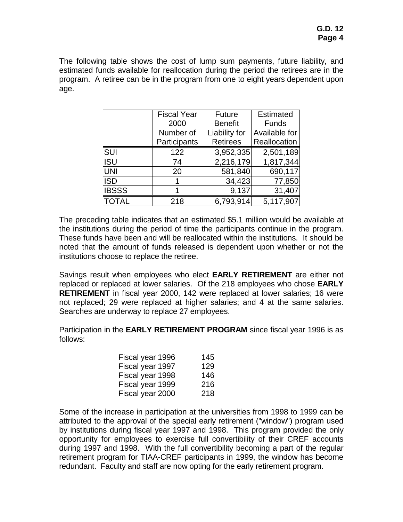The following table shows the cost of lump sum payments, future liability, and estimated funds available for reallocation during the period the retirees are in the program. A retiree can be in the program from one to eight years dependent upon age.

|              | <b>Fiscal Year</b> | <b>Future</b>   | <b>Estimated</b> |
|--------------|--------------------|-----------------|------------------|
|              | 2000               | <b>Benefit</b>  | <b>Funds</b>     |
|              | Number of          | Liability for   | Available for    |
|              | Participants       | <b>Retirees</b> | Reallocation     |
| <b>SUI</b>   | 122                | 3,952,335       | 2,501,189        |
| <b>ISU</b>   | 74                 | 2,216,179       | 1,817,344        |
| <b>UNI</b>   | 20                 | 581,840         | 690,117          |
| <b>ISD</b>   |                    | 34,423          | 77,850           |
| <b>IBSSS</b> |                    | 9,137           | 31,407           |
| <b>TOTAL</b> | 218                | 6,793,914       | 5,117,907        |

The preceding table indicates that an estimated \$5.1 million would be available at the institutions during the period of time the participants continue in the program. These funds have been and will be reallocated within the institutions. It should be noted that the amount of funds released is dependent upon whether or not the institutions choose to replace the retiree.

Savings result when employees who elect **EARLY RETIREMENT** are either not replaced or replaced at lower salaries. Of the 218 employees who chose **EARLY RETIREMENT** in fiscal year 2000, 142 were replaced at lower salaries; 16 were not replaced; 29 were replaced at higher salaries; and 4 at the same salaries. Searches are underway to replace 27 employees.

Participation in the **EARLY RETIREMENT PROGRAM** since fiscal year 1996 is as follows:

| Fiscal year 1996 | 145 |
|------------------|-----|
| Fiscal year 1997 | 129 |
| Fiscal year 1998 | 146 |
| Fiscal year 1999 | 216 |
| Fiscal year 2000 | 218 |

Some of the increase in participation at the universities from 1998 to 1999 can be attributed to the approval of the special early retirement ("window") program used by institutions during fiscal year 1997 and 1998. This program provided the only opportunity for employees to exercise full convertibility of their CREF accounts during 1997 and 1998. With the full convertibility becoming a part of the regular retirement program for TIAA-CREF participants in 1999, the window has become redundant. Faculty and staff are now opting for the early retirement program.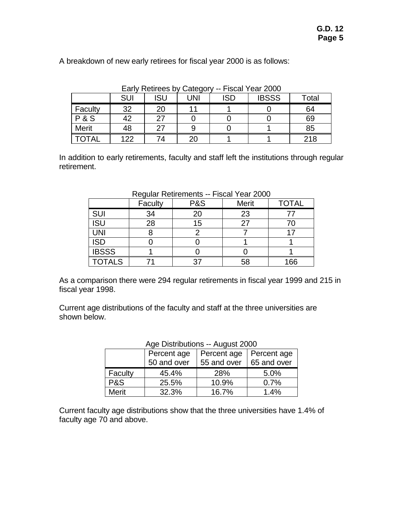| Early Retirees by Category -- Fiscal Year 2000 |     |     |     |            |              |       |  |
|------------------------------------------------|-----|-----|-----|------------|--------------|-------|--|
|                                                | SUI | ISU | UNI | <b>ISD</b> | <b>IBSSS</b> | Total |  |
| Faculty                                        | 32  | 20  |     |            |              | 64    |  |
| <b>P&amp;S</b>                                 | 42  | 27  |     |            |              | 69    |  |
| <b>Merit</b>                                   | 48  | 27  |     |            |              | 85    |  |
|                                                | 122 | 74  |     |            |              | 218   |  |

A breakdown of new early retirees for fiscal year 2000 is as follows:

In addition to early retirements, faculty and staff left the institutions through regular retirement.

|               | Faculty | $1$ could be the filter to $-1$ is call from 2000<br>P&S | Merit | <b>TOTAL</b> |
|---------------|---------|----------------------------------------------------------|-------|--------------|
| <b>SUI</b>    | 34      | 20                                                       | 23    | 77           |
| <b>ISU</b>    | 28      | 15                                                       | 27    | 70           |
| <b>UNI</b>    |         |                                                          |       |              |
| <b>ISD</b>    |         |                                                          |       |              |
| <b>IBSSS</b>  |         |                                                          |       |              |
| <b>TOTALS</b> |         |                                                          | 58    | 166          |

As a comparison there were 294 regular retirements in fiscal year 1999 and 215 in fiscal year 1998.

Current age distributions of the faculty and staff at the three universities are shown below.

| י ישט די טוויסטער איז ז $\sim$<br>7 NGQUY LUVU |             |             |             |  |  |  |
|------------------------------------------------|-------------|-------------|-------------|--|--|--|
|                                                | Percent age | Percent age | Percent age |  |  |  |
|                                                | 50 and over | 55 and over | 65 and over |  |  |  |
| Faculty                                        | 45.4%       | 28%         | 5.0%        |  |  |  |
| P&S                                            | 25.5%       | 10.9%       | 0.7%        |  |  |  |
| <b>Merit</b>                                   | 32.3%       | 16.7%       | 1.4%        |  |  |  |

# Age Distributions -- August 2000

Current faculty age distributions show that the three universities have 1.4% of faculty age 70 and above.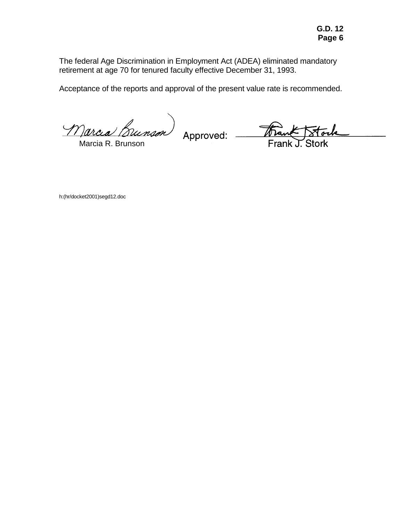The federal Age Discrimination in Employment Act (ADEA) eliminated mandatory retirement at age 70 for tenured faculty effective December 31, 1993.

Acceptance of the reports and approval of the present value rate is recommended.

Marcia Bunson

Marcia R. Brunson

Approved:

Frai

h:(hr/docket2001)segd12.doc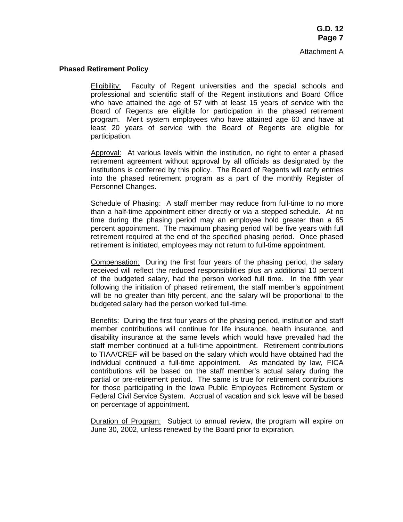#### **Phased Retirement Policy**

 Eligibility: Faculty of Regent universities and the special schools and professional and scientific staff of the Regent institutions and Board Office who have attained the age of 57 with at least 15 years of service with the Board of Regents are eligible for participation in the phased retirement program. Merit system employees who have attained age 60 and have at least 20 years of service with the Board of Regents are eligible for participation.

 Approval: At various levels within the institution, no right to enter a phased retirement agreement without approval by all officials as designated by the institutions is conferred by this policy. The Board of Regents will ratify entries into the phased retirement program as a part of the monthly Register of Personnel Changes.

 Schedule of Phasing: A staff member may reduce from full-time to no more than a half-time appointment either directly or via a stepped schedule. At no time during the phasing period may an employee hold greater than a 65 percent appointment. The maximum phasing period will be five years with full retirement required at the end of the specified phasing period. Once phased retirement is initiated, employees may not return to full-time appointment.

 Compensation: During the first four years of the phasing period, the salary received will reflect the reduced responsibilities plus an additional 10 percent of the budgeted salary, had the person worked full time. In the fifth year following the initiation of phased retirement, the staff member's appointment will be no greater than fifty percent, and the salary will be proportional to the budgeted salary had the person worked full-time.

 Benefits: During the first four years of the phasing period, institution and staff member contributions will continue for life insurance, health insurance, and disability insurance at the same levels which would have prevailed had the staff member continued at a full-time appointment. Retirement contributions to TIAA/CREF will be based on the salary which would have obtained had the individual continued a full-time appointment. As mandated by law, FICA contributions will be based on the staff member's actual salary during the partial or pre-retirement period. The same is true for retirement contributions for those participating in the Iowa Public Employees Retirement System or Federal Civil Service System. Accrual of vacation and sick leave will be based on percentage of appointment.

 Duration of Program: Subject to annual review, the program will expire on June 30, 2002, unless renewed by the Board prior to expiration.